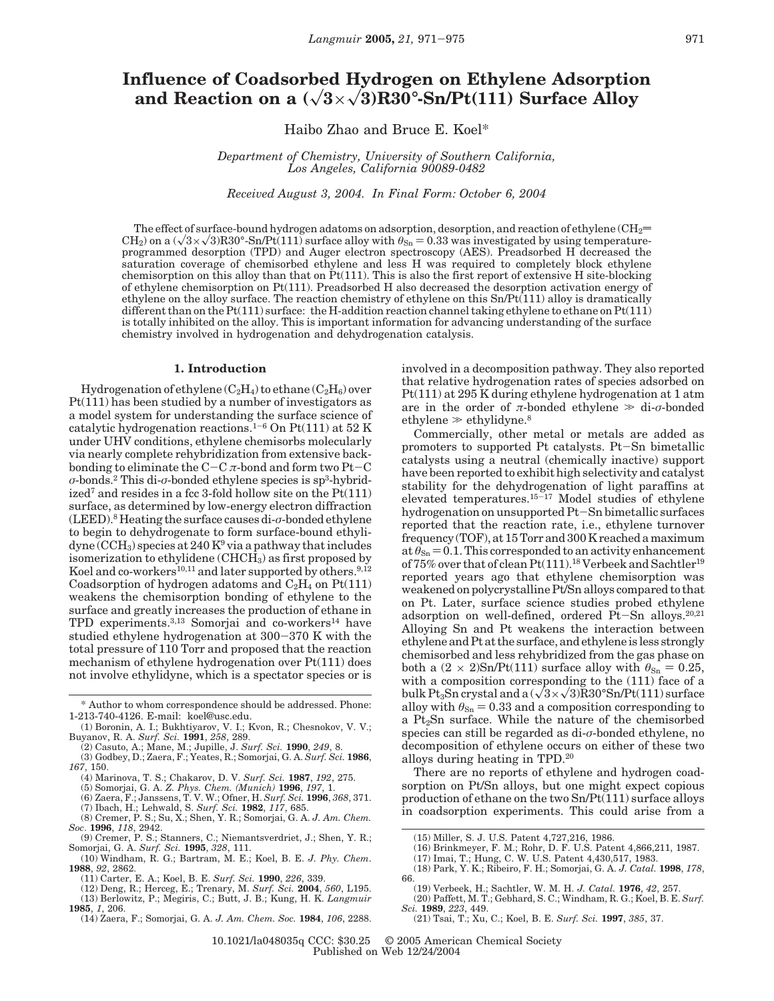# **Influence of Coadsorbed Hydrogen on Ethylene Adsorption** and Reaction on a  $(\sqrt{3} \times \sqrt{3})R30^\circ$ -Sn/Pt(111) Surface Alloy

Haibo Zhao and Bruce E. Koel\*

*Department of Chemistry, University of Southern California, Los Angeles, California 90089-0482*

*Received August 3, 2004. In Final Form: October 6, 2004*

The effect of surface-bound hydrogen adatoms on adsorption, desorption, and reaction of ethylene ( $CH_2=$  $CH<sub>2</sub>$ ) on a ( $\sqrt{3}\times\sqrt{3}$ R30°-Sn/Pt(111) surface alloy with  $\theta_{\rm Sn} = 0.33$  was investigated by using temperatureprogrammed desorption (TPD) and Auger electron spectroscopy (AES). Preadsorbed H decreased the saturation coverage of chemisorbed ethylene and less H was required to completely block ethylene chemisorption on this alloy than that on  $Pt(111)$ . This is also the first report of extensive H site-blocking of ethylene chemisorption on Pt(111). Preadsorbed H also decreased the desorption activation energy of ethylene on the alloy surface. The reaction chemistry of ethylene on this Sn/Pt(111) alloy is dramatically different than on the Pt(111) surface: the H-addition reaction channel taking ethylene to ethane on Pt(111) is totally inhibited on the alloy. This is important information for advancing understanding of the surface chemistry involved in hydrogenation and dehydrogenation catalysis.

## **1. Introduction**

Hydrogenation of ethylene  $(C_2H_4)$  to ethane  $(C_2H_6)$  over Pt(111) has been studied by a number of investigators as a model system for understanding the surface science of catalytic hydrogenation reactions.<sup>1-6</sup> On Pt(111) at 52 K under UHV conditions, ethylene chemisorbs molecularly via nearly complete rehybridization from extensive backbonding to eliminate the C-<sup>C</sup> *<sup>π</sup>*-bond and form two Pt-<sup>C</sup> *σ*-bonds.2 This di-*σ*-bonded ethylene species is sp3-hybridized<sup>7</sup> and resides in a fcc 3-fold hollow site on the  $Pt(111)$ surface, as determined by low-energy electron diffraction (LEED).8 Heating the surface causes di-*σ*-bonded ethylene to begin to dehydrogenate to form surface-bound ethyli- $\rm dyne$  (CCH<sub>3</sub>) species at 240 K<sup>9</sup> via a pathway that includes isomerization to ethylidene (CHCH3) as first proposed by Koel and co-workers<sup>10,11</sup> and later supported by others.<sup>9,12</sup> Coadsorption of hydrogen adatoms and  $C_2H_4$  on  $Pt(111)$ weakens the chemisorption bonding of ethylene to the surface and greatly increases the production of ethane in TPD experiments.<sup>3,13</sup> Somorjai and co-workers<sup>14</sup> have studied ethylene hydrogenation at 300-370 K with the total pressure of 110 Torr and proposed that the reaction mechanism of ethylene hydrogenation over Pt(111) does not involve ethylidyne, which is a spectator species or is

- (4) Marinova, T. S.; Chakarov, D. V. *Surf. Sci.* **1987**, *192*, 275. (5) Somorjai, G. A. *Z. Phys. Chem. (Munich)* **1996**, *197*, 1.
- 
- (6) Zaera, F.; Janssens, T. V. W.; Ofner, H. *Surf. Sci.* **1996**, *368*, 371.
- (7) Ibach, H.; Lehwald, S. *Surf. Sci.* **1982**, *117*, 685. (8) Cremer, P. S.; Su, X.; Shen, Y. R.; Somorjai, G. A. *J. Am. Chem.*
- *Soc*. **1996**, *118*, 2942.
- (9) Cremer, P. S.; Stanners, C.; Niemantsverdriet, J.; Shen, Y. R.; Somorjai, G. A. *Surf. Sci.* **1995**, *328*, 111. (10) Windham, R. G.; Bartram, M. E.; Koel, B. E. *J. Phy. Chem*.
- **1988**, *92*, 2862.
	- (11) Carter, E. A.; Koel, B. E. *Surf. Sci.* **1990**, *226*, 339.
- (12) Deng, R.; Herceg, E.; Trenary, M. *Surf. Sci.* **2004**, *560*, L195. (13) Berlowitz, P.; Megiris, C.; Butt, J. B.; Kung, H. K. *Langmuir*
- **1985**, *1*, 206.
	- (14) Zaera, F.; Somorjai, G. A. *J. Am. Chem. Soc.* **1984**, *106*, 2288.

involved in a decomposition pathway. They also reported that relative hydrogenation rates of species adsorbed on Pt(111) at 295 K during ethylene hydrogenation at 1 atm are in the order of  $\pi$ -bonded ethylene  $\gg$  di- $\sigma$ -bonded ethylene  $\gg$  ethylidyne.<sup>8</sup>

Commercially, other metal or metals are added as promoters to supported Pt catalysts. Pt-Sn bimetallic catalysts using a neutral (chemically inactive) support have been reported to exhibit high selectivity and catalyst stability for the dehydrogenation of light paraffins at elevated temperatures.15-<sup>17</sup> Model studies of ethylene hydrogenation on unsupported Pt-Sn bimetallic surfaces reported that the reaction rate, i.e., ethylene turnover frequency (TOF), at 15 Torr and 300 K reached a maximum at  $\theta_{\rm Sn}$  = 0.1. This corresponded to an activity enhancement of 75% over that of clean Pt(111).<sup>18</sup> Verbeek and Sachtler<sup>19</sup> reported years ago that ethylene chemisorption was weakened on polycrystalline Pt/Sn alloys compared to that on Pt. Later, surface science studies probed ethylene adsorption on well-defined, ordered Pt-Sn alloys.20,21 Alloying Sn and Pt weakens the interaction between ethylene and Pt at the surface, and ethylene is less strongly chemisorbed and less rehybridized from the gas phase on both a  $(2 \times 2)$ Sn/Pt(111) surface alloy with  $\theta_{\text{Sn}} = 0.25$ , with a composition corresponding to the (111) face of a bulk Pt<sub>3</sub>Sn crystal and a  $(\sqrt{3}\times\sqrt{3})R30^{\circ}Sn/Pt(111)$  surface alloy with  $\theta_{\rm Sn} = 0.33$  and a composition corresponding to a  $Pt<sub>2</sub>Sn$  surface. While the nature of the chemisorbed species can still be regarded as di-*σ*-bonded ethylene, no decomposition of ethylene occurs on either of these two alloys during heating in TPD.20

There are no reports of ethylene and hydrogen coadsorption on Pt/Sn alloys, but one might expect copious production of ethane on the two Sn/Pt(111) surface alloys in coadsorption experiments. This could arise from a

- 
- (15) Miller, S. J. U.S. Patent 4,727,216, 1986. (16) Brinkmeyer, F. M.; Rohr, D. F. U.S. Patent 4,866,211, 1987. (17) Imai, T.; Hung, C. W. U.S. Patent 4,430,517, 1983.
- (18) Park, Y. K.; Ribeiro, F. H.; Somorjai, G. A. *J. Catal.* **1998**, *178*, 66.
	- (19) Verbeek, H.; Sachtler, W. M. H. *J. Catal.* **1976**, *42*, 257. (20) Paffett, M. T.; Gebhard, S. C.; Windham, R. G.; Koel, B. E. *Surf.*
- *Sci.* **1989**, *223*, 449. (21) Tsai, T.; Xu, C.; Koel, B. E. *Surf. Sci.* **1997**, *385*, 37.
	-

10.1021/la048035q CCC: \$30.25 © 2005 American Chemical Society Published on Web 12/24/2004

<sup>\*</sup> Author to whom correspondence should be addressed. Phone: 1-213-740-4126. E-mail: koel@usc.edu.

<sup>(1)</sup> Boronin, A. I.; Bukhtiyarov, V. I.; Kvon, R.; Chesnokov, V. V.; Buyanov, R. A. *Surf. Sci.* **1991**, *258*, 289.

<sup>(2)</sup> Casuto, A.; Mane, M.; Jupille, J. *Surf. Sci.* **1990**, *249*, 8. (3) Godbey, D.; Zaera, F.; Yeates, R.; Somorjai, G. A. *Surf. Sci.* **1986**,

*<sup>167</sup>*, 150.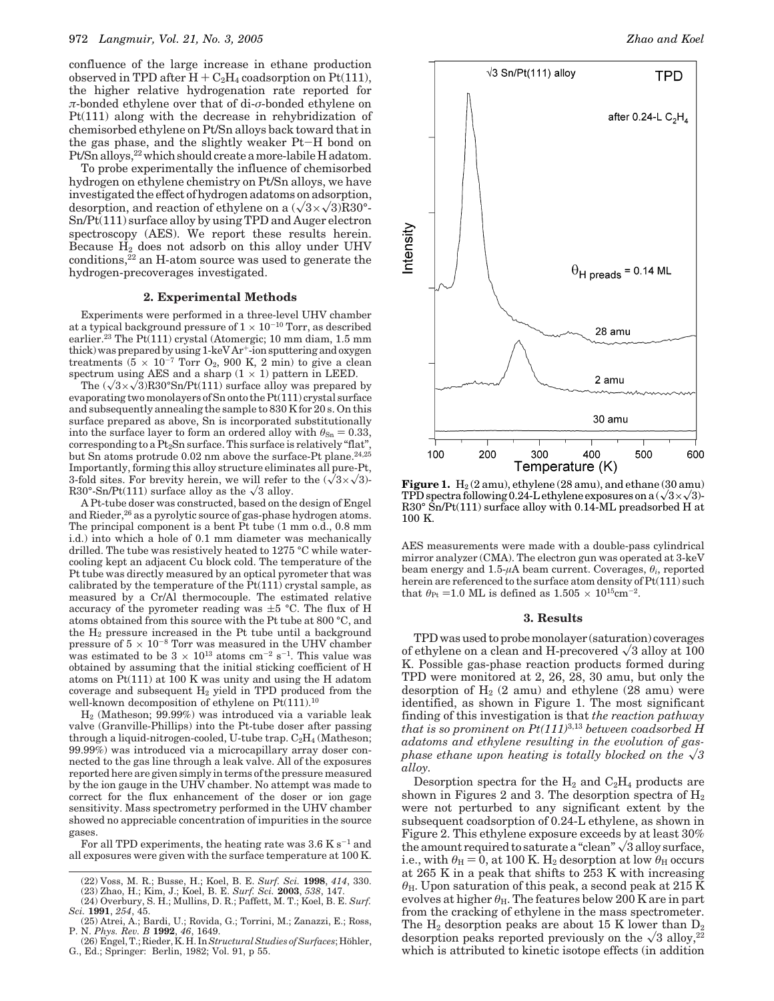confluence of the large increase in ethane production observed in TPD after  $H + C_2H_4$  coadsorption on Pt(111), the higher relative hydrogenation rate reported for *π*-bonded ethylene over that of di-*σ*-bonded ethylene on Pt(111) along with the decrease in rehybridization of chemisorbed ethylene on Pt/Sn alloys back toward that in the gas phase, and the slightly weaker Pt-H bond on Pt/Sn alloys,<sup>22</sup> which should create a more-labile H adatom.

To probe experimentally the influence of chemisorbed hydrogen on ethylene chemistry on Pt/Sn alloys, we have investigated the effect of hydrogen adatoms on adsorption, desorption, and reaction of ethylene on a  $(\sqrt{3}\times\sqrt{3})R30^{\circ}$ -Sn/Pt(111) surface alloy by using TPD and Auger electron spectroscopy (AES). We report these results herein. Because  $H_2$  does not adsorb on this alloy under UHV conditions,<sup>22</sup> an H-atom source was used to generate the hydrogen-precoverages investigated.

### **2. Experimental Methods**

Experiments were performed in a three-level UHV chamber at a typical background pressure of  $1 \times 10^{-10}$  Torr, as described earlier.<sup>23</sup> The Pt(111) crystal (Atomergic; 10 mm diam, 1.5 mm thick) was prepared by using  $1$ -keV Ar<sup>+</sup>-ion sputtering and oxygen treatments  $(5 \times 10^{-7}$  Torr O<sub>2</sub>, 900 K, 2 min) to give a clean spectrum using AES and a sharp  $(1 \times 1)$  pattern in LEED.

The  $(\sqrt{3}\times\sqrt{3})R30^{\circ}Sn/Pt(111)$  surface alloy was prepared by evaporating two monolayers of Sn onto the Pt(111) crystal surface and subsequently annealing the sample to 830 K for 20 s. On this surface prepared as above, Sn is incorporated substitutionally into the surface layer to form an ordered alloy with  $\theta_{\rm Sn} = 0.33$ , corresponding to a Pt2Sn surface. This surface is relatively "flat", but Sn atoms protrude 0.02 nm above the surface-Pt plane.<sup>24,25</sup> Importantly, forming this alloy structure eliminates all pure-Pt, 3-fold sites. For brevity herein, we will refer to the  $(\sqrt{3}\times\sqrt{3})$ -R30°-Sn/Pt(111) surface alloy as the  $\sqrt{3}$  alloy.

A Pt-tube doser was constructed, based on the design of Engel and Rieder,<sup>26</sup> as a pyrolytic source of gas-phase hydrogen atoms. The principal component is a bent Pt tube (1 mm o.d., 0.8 mm i.d.) into which a hole of 0.1 mm diameter was mechanically drilled. The tube was resistively heated to 1275 °C while watercooling kept an adjacent Cu block cold. The temperature of the Pt tube was directly measured by an optical pyrometer that was calibrated by the temperature of the  $Pt(111)$  crystal sample, as measured by a Cr/Al thermocouple. The estimated relative accuracy of the pyrometer reading was  $\pm 5$  °C. The flux of H atoms obtained from this source with the Pt tube at 800 °C, and the  $H_2$  pressure increased in the Pt tube until a background pressure of  $5 \times 10^{-8}$  Torr was measured in the UHV chamber was estimated to be  $3 \times 10^{13}$  atoms cm<sup>-2</sup> s<sup>-1</sup>. This value was obtained by assuming that the initial sticking coefficient of H atoms on Pt(111) at 100 K was unity and using the H adatom coverage and subsequent  $H_2$  yield in TPD produced from the well-known decomposition of ethylene on Pt(111).<sup>10</sup>

H2 (Matheson; 99.99%) was introduced via a variable leak valve (Granville-Phillips) into the Pt-tube doser after passing through a liquid-nitrogen-cooled, U-tube trap.  $C_2H_4$  (Matheson; 99.99%) was introduced via a microcapillary array doser connected to the gas line through a leak valve. All of the exposures reported here are given simply in terms of the pressure measured by the ion gauge in the UHV chamber. No attempt was made to correct for the flux enhancement of the doser or ion gage sensitivity. Mass spectrometry performed in the UHV chamber showed no appreciable concentration of impurities in the source gases.

For all TPD experiments, the heating rate was  $3.6 \text{ K s}^{-1}$  and all exposures were given with the surface temperature at 100 K.



**Figure 1.**  $H_2(2 \text{ amu})$ , ethylene  $(28 \text{ amu})$ , and ethane  $(30 \text{ amu})$ TPD spectra following 0.24-L ethylene exposures on a  $(\sqrt{3}\times\sqrt{3})$ -R30° Sn/Pt(111) surface alloy with 0.14-ML preadsorbed H at 100 K.

AES measurements were made with a double-pass cylindrical mirror analyzer (CMA). The electron gun was operated at 3-keV beam energy and 1.5-*µ*A beam current. Coverages, *θi*, reported herein are referenced to the surface atom density of Pt(111) such that  $\theta_{\text{Pt}} = 1.0 \text{ ML}$  is defined as  $1.505 \times 10^{15} \text{cm}^{-2}$ .

#### **3. Results**

TPD was used to probe monolayer (saturation) coverages of ethylene on a clean and H-precovered  $\sqrt{3}$  alloy at 100 K. Possible gas-phase reaction products formed during TPD were monitored at 2, 26, 28, 30 amu, but only the desorption of  $H_2$  (2 amu) and ethylene (28 amu) were identified, as shown in Figure 1. The most significant finding of this investigation is that *the reaction pathway that is so prominent on Pt(111)*3,13 *between coadsorbed H adatoms and ethylene resulting in the evolution of gasphase ethane upon heating is totally blocked on the*  $\sqrt{3}$ *alloy.*

Desorption spectra for the  $H_2$  and  $C_2H_4$  products are shown in Figures 2 and 3. The desorption spectra of  $H_2$ were not perturbed to any significant extent by the subsequent coadsorption of 0.24-L ethylene, as shown in Figure 2. This ethylene exposure exceeds by at least 30% the amount required to saturate a "clean"  $\sqrt{3}$  alloy surface, i.e., with  $\theta_H = 0$ , at 100 K. H<sub>2</sub> desorption at low  $\theta_H$  occurs at 265 K in a peak that shifts to 253 K with increasing *θ*H. Upon saturation of this peak, a second peak at 215 K evolves at higher  $\theta_H$ . The features below 200 K are in part from the cracking of ethylene in the mass spectrometer. The  $H_2$  desorption peaks are about 15 K lower than  $D_2$ desorption peaks reported previously on the  $\sqrt{3}$  alloy,<sup>22</sup> which is attributed to kinetic isotope effects (in addition

<sup>(22)</sup> Voss, M. R.; Busse, H.; Koel, B. E. *Surf. Sci.* **1998**, *414*, 330. (23) Zhao, H.; Kim, J.; Koel, B. E. *Surf. Sci.* **2003**, *538*, 147.

<sup>(24)</sup> Overbury, S. H.; Mullins, D. R.; Paffett, M. T.; Koel, B. E. *Surf.*

*Sci.* **1991**, *254*, 45. (25) Atrei, A.; Bardi, U.; Rovida, G.; Torrini, M.; Zanazzi, E.; Ross,

P. N. *Phys. Rev. B* **1992**, *46*, 1649.

<sup>(26)</sup> Engel, T.; Rieder, K. H. In Structural Studies of Surfaces; Höhler, G., Ed.; Springer: Berlin, 1982; Vol. 91, p 55.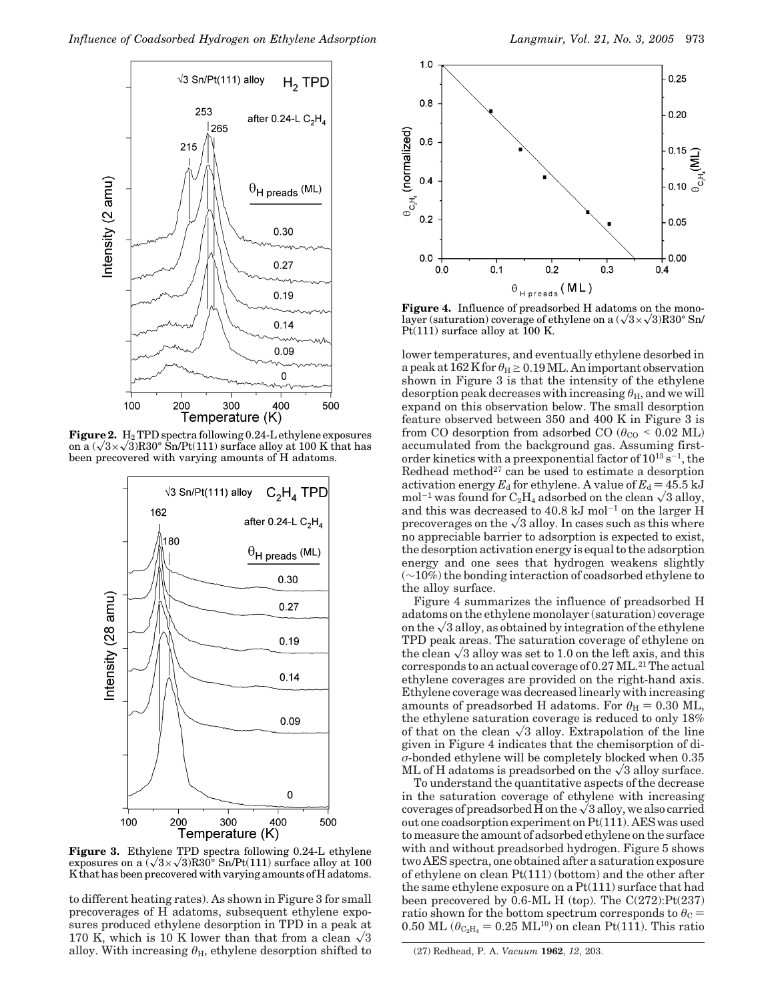

Figure 2.  $H_2$  TPD spectra following 0.24-L ethylene exposures on a  $(\sqrt{3}\times\sqrt{3})R30^{\circ}$  Sn/Pt(111) surface alloy at 100 K that has been precovered with varying amounts of H adatoms.



**Figure 3.** Ethylene TPD spectra following 0.24-L ethylene exposures on a  $(\sqrt{3}\times\sqrt{3})R30^{\circ}$  Sn/Pt(111) surface alloy at 100 K that has been precovered with varying amounts of H adatoms.

to different heating rates). As shown in Figure 3 for small precoverages of H adatoms, subsequent ethylene exposures produced ethylene desorption in TPD in a peak at 170 K, which is 10 K lower than that from a clean  $\sqrt{3}$ alloy. With increasing  $\theta_H$ , ethylene desorption shifted to



**Figure 4.** Influence of preadsorbed H adatoms on the monolayer (saturation) coverage of ethylene on a  $(\sqrt{3}\times\sqrt{3})R30^{\circ}$  Sn/ Pt $(111)$  surface alloy at 100 K.

lower temperatures, and eventually ethylene desorbed in a peak at  $162$  K for  $\theta_H \geq 0.19$  ML. An important observation shown in Figure 3 is that the intensity of the ethylene desorption peak decreases with increasing  $\theta_{\rm H}$ , and we will expand on this observation below. The small desorption feature observed between 350 and 400 K in Figure 3 is from CO desorption from adsorbed CO ( $\theta_{\text{CO}}$  < 0.02 ML) accumulated from the background gas. Assuming firstorder kinetics with a preexponential factor of  $10^{13}$  s<sup>-1</sup>, the Redhead method<sup>27</sup> can be used to estimate a desorption activation energy  $E_d$  for ethylene. A value of  $E_d = 45.5$  kJ mol<sup>-1</sup> was found for  $C_2H_4$  adsorbed on the clean  $\sqrt{3}$  alloy, and this was decreased to  $40.8 \text{ kJ mol}^{-1}$  on the larger H precoverages on the  $\sqrt{3}$  alloy. In cases such as this where no appreciable barrier to adsorption is expected to exist, the desorption activation energy is equal to the adsorption energy and one sees that hydrogen weakens slightly (∼10%) the bonding interaction of coadsorbed ethylene to the alloy surface.

Figure 4 summarizes the influence of preadsorbed H adatoms on the ethylene monolayer (saturation) coverage on the  $\sqrt{3}$  alloy, as obtained by integration of the ethylene TPD peak areas. The saturation coverage of ethylene on the clean  $\sqrt{3}$  alloy was set to 1.0 on the left axis, and this corresponds to an actual coverage of  $0.27$  ML.<sup>21</sup> The actual ethylene coverages are provided on the right-hand axis. Ethylene coverage was decreased linearly with increasing amounts of preadsorbed H adatoms. For  $\theta_H = 0.30$  ML, the ethylene saturation coverage is reduced to only 18% of that on the clean  $\sqrt{3}$  alloy. Extrapolation of the line given in Figure 4 indicates that the chemisorption of di*σ*-bonded ethylene will be completely blocked when 0.35 ML of H adatoms is preadsorbed on the  $\sqrt{3}$  alloy surface.

To understand the quantitative aspects of the decrease in the saturation coverage of ethylene with increasing coverages of preadsorbed H on the  $\sqrt{3}$  alloy, we also carried out one coadsorption experiment on Pt(111). AES was used to measure the amount of adsorbed ethylene on the surface with and without preadsorbed hydrogen. Figure 5 shows two AES spectra, one obtained after a saturation exposure of ethylene on clean Pt(111) (bottom) and the other after the same ethylene exposure on a Pt(111) surface that had been precovered by  $0.6$ -ML H (top). The C(272):Pt(237) ratio shown for the bottom spectrum corresponds to  $\theta_{\rm C} = 0.50$  ML  $(\theta_{\rm C, H} = 0.25$  ML<sup>10</sup>) on clean Pt(111). This ratio 0.50 ML ( $\theta_{\text{C}_2\text{H}_4}$  = 0.25 ML<sup>10</sup>) on clean Pt(111). This ratio

<sup>(27)</sup> Redhead, P. A. *Vacuum* **1962**, *12*, 203.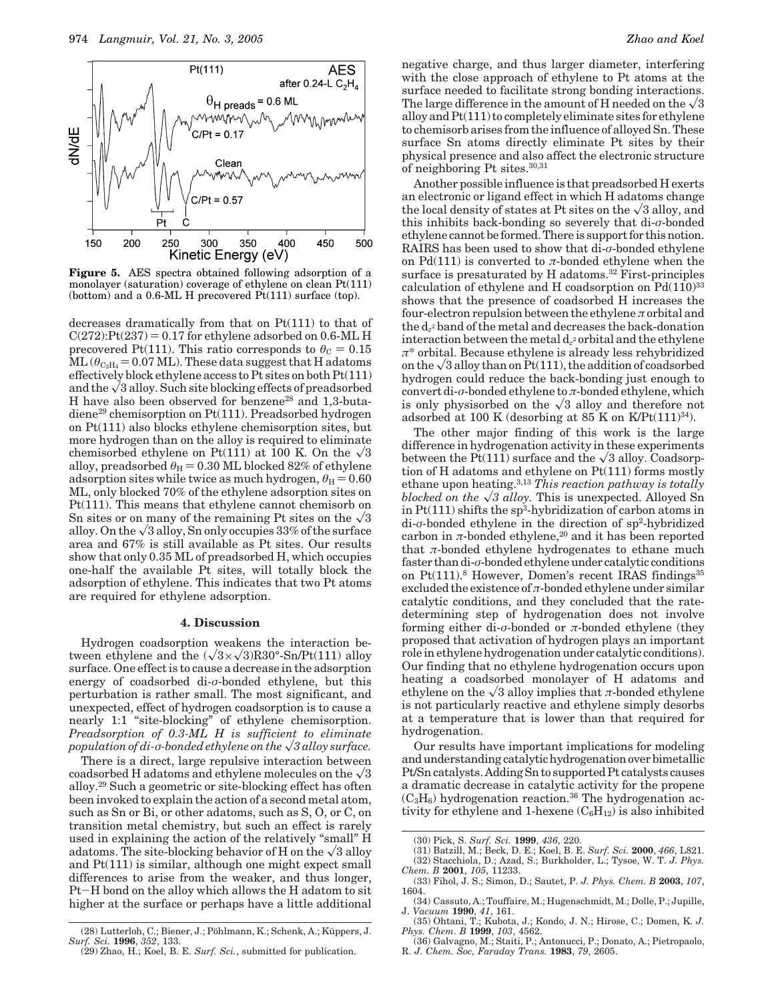

**Figure 5.** AES spectra obtained following adsorption of a monolayer (saturation) coverage of ethylene on clean Pt(111) (bottom) and a 0.6-ML H precovered Pt(111) surface (top).

decreases dramatically from that on Pt(111) to that of  $C(272):Pt(237) = 0.17$  for ethylene adsorbed on 0.6-ML H precovered Pt(111). This ratio corresponds to  $\theta_{\rm C} = 0.15$  $ML (\theta_{C_2H_4} = 0.07$  ML). These data suggest that H adatoms effectively block ethylene access to Pt sites on both Pt(111) and the  $\sqrt{3}$  alloy. Such site blocking effects of preadsorbed H have also been observed for benzene<sup>28</sup> and 1,3-butadiene29 chemisorption on Pt(111). Preadsorbed hydrogen on Pt(111) also blocks ethylene chemisorption sites, but more hydrogen than on the alloy is required to eliminate chemisorbed ethylene on Pt(111) at 100 K. On the  $\sqrt{3}$ alloy, preadsorbed  $\theta_H = 0.30$  ML blocked 82% of ethylene adsorption sites while twice as much hydrogen,  $\theta_{\text{H}} = 0.60$ ML, only blocked 70% of the ethylene adsorption sites on Pt(111). This means that ethylene cannot chemisorb on Sn sites or on many of the remaining Pt sites on the  $\sqrt{3}$ alloy. On the  $\sqrt{3}$  alloy, Sn only occupies 33% of the surface area and 67% is still available as Pt sites. Our results show that only 0.35 ML of preadsorbed H, which occupies one-half the available Pt sites, will totally block the adsorption of ethylene. This indicates that two Pt atoms are required for ethylene adsorption.

#### **4. Discussion**

Hydrogen coadsorption weakens the interaction between ethylene and the  $(\sqrt{3}\times\sqrt{3})R30^{\circ}$ -Sn/Pt(111) alloy surface. One effect is to cause a decrease in the adsorption energy of coadsorbed di-*σ*-bonded ethylene, but this perturbation is rather small. The most significant, and unexpected, effect of hydrogen coadsorption is to cause a nearly 1:1 "site-blocking" of ethylene chemisorption. *Preadsorption of 0.3-ML H is sufficient to eliminate population of di-σ*-bonded ethylene on the  $\sqrt{3}$  alloy surface.

There is a direct, large repulsive interaction between coadsorbed H adatoms and ethylene molecules on the  $\sqrt{3}$ alloy.29 Such a geometric or site-blocking effect has often been invoked to explain the action of a second metal atom, such as Sn or Bi, or other adatoms, such as S, O, or C, on transition metal chemistry, but such an effect is rarely used in explaining the action of the relatively "small" H adatoms. The site-blocking behavior of H on the  $\sqrt{3}$  alloy and Pt(111) is similar, although one might expect small differences to arise from the weaker, and thus longer, Pt-H bond on the alloy which allows the H adatom to sit higher at the surface or perhaps have a little additional negative charge, and thus larger diameter, interfering with the close approach of ethylene to Pt atoms at the surface needed to facilitate strong bonding interactions. The large difference in the amount of H needed on the  $\sqrt{3}$ alloy and Pt(111) to completely eliminate sites for ethylene to chemisorb arises from the influence of alloyed Sn. These surface Sn atoms directly eliminate Pt sites by their physical presence and also affect the electronic structure of neighboring Pt sites.30,31

Another possible influence is that preadsorbed H exerts an electronic or ligand effect in which H adatoms change the local density of states at Pt sites on the  $\sqrt{3}$  alloy, and this inhibits back-bonding so severely that di-*σ*-bonded ethylene cannot be formed. There is support for this notion. RAIRS has been used to show that di-*σ*-bonded ethylene on Pd(111) is converted to  $\pi$ -bonded ethylene when the surface is presaturated by H adatoms.<sup>32</sup> First-principles calculation of ethylene and H coadsorption on  $Pd(110)^{33}$ shows that the presence of coadsorbed H increases the four-electron repulsion between the ethylene *π* orbital and the d*z*<sup>2</sup> band of the metal and decreases the back-donation interaction between the metal  $d_{z}$ <sup>2</sup> orbital and the ethylene *π*\* orbital. Because ethylene is already less rehybridized on the  $\sqrt{3}$  alloy than on Pt(111), the addition of coadsorbed hydrogen could reduce the back-bonding just enough to convert di-*σ*-bonded ethylene to *π*-bonded ethylene, which is only physisorbed on the  $\sqrt{3}$  alloy and therefore not adsorbed at 100 K (desorbing at 85 K on K/Pt(111)<sup>34</sup>).

The other major finding of this work is the large difference in hydrogenation activity in these experiments between the Pt(111) surface and the  $\sqrt{3}$  alloy. Coadsorption of H adatoms and ethylene on Pt(111) forms mostly ethane upon heating.3,13 *This reaction pathway is totally blocked on the*  $\sqrt{3}$  *alloy*. This is unexpected. Alloyed Sn in  $Pt(111)$  shifts the sp<sup>3</sup>-hybridization of carbon atoms in di-*σ*-bonded ethylene in the direction of sp2-hybridized carbon in  $\pi$ -bonded ethylene,<sup>20</sup> and it has been reported that *π*-bonded ethylene hydrogenates to ethane much faster than di-σ-bonded ethylene under catalytic conditions on  $Pt(111).8$  However, Domen's recent IRAS findings<sup>35</sup> excluded the existence of  $\pi$ -bonded ethylene under similar catalytic conditions, and they concluded that the ratedetermining step of hydrogenation does not involve forming either di-*σ*-bonded or *π*-bonded ethylene (they proposed that activation of hydrogen plays an important role in ethylene hydrogenation under catalytic conditions). Our finding that no ethylene hydrogenation occurs upon heating a coadsorbed monolayer of H adatoms and ethylene on the  $\sqrt{3}$  alloy implies that *π*-bonded ethylene is not particularly reactive and ethylene simply desorbs at a temperature that is lower than that required for hydrogenation.

Our results have important implications for modeling and understanding catalytic hydrogenation over bimetallic Pt/Sn catalysts. Adding Sn to supported Pt catalysts causes a dramatic decrease in catalytic activity for the propene  $(C_3H_6)$  hydrogenation reaction.<sup>36</sup> The hydrogenation activity for ethylene and 1-hexene  $(C_6H_{12})$  is also inhibited

(31) Batzill, M.; Beck, D. E.; Koel, B. E. *Surf. Sci.* **2000**, *466*, L821. (32) Stacchiola, D.; Azad, S.; Burkholder, L.; Tysoe, W. T. *J. Phys.*

<sup>(29)</sup> Zhao, H.; Koel, B. E. *Surf. Sci.*, submitted for publication.

<sup>(30)</sup> Pick, S. *Surf. Sci.* **1999**, *436*, 220.

*Chem. B* **2001**, *105*, 11233. (33) Fihol, J. S.; Simon, D.; Sautet, P. *J. Phys. Chem. B* **2003**, *107*,

<sup>1604.</sup> (34) Cassuto, A.; Touffaire, M.; Hugenschmidt, M.; Dolle, P.; Jupille,

J. *Vacuum* **1990**, *41*, 161. (35) Ohtani, T.; Kubota, J.; Kondo, J. N.; Hirose, C.; Domen, K. *J.*

*Phys. Chem*. *B* **1999**, *103*, 4562. (36) Galvagno, M.; Staiti, P.; Antonucci, P.; Donato, A.; Pietropaolo, R. *J. Chem. Soc, Faraday Trans.* **1983**, *79*, 2605.